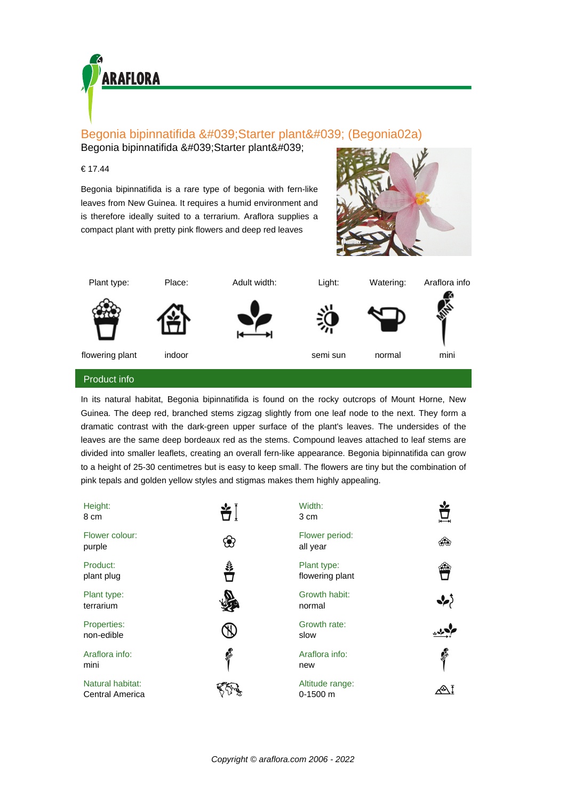

## Begonia bipinnatifida 'Starter plant' (Begonia02a)

Begonia bipinnatifida 'Starter plant'

## € 17.44

Begonia bipinnatifida is a rare type of begonia with fern-like leaves from New Guinea. It requires a humid environment and is therefore ideally suited to a terrarium. Araflora supplies a compact plant with pretty pink flowers and deep red leaves





In its natural habitat, Begonia bipinnatifida is found on the rocky outcrops of Mount Horne, New Guinea. The deep red, branched stems zigzag slightly from one leaf node to the next. They form a dramatic contrast with the dark-green upper surface of the plant's leaves. The undersides of the leaves are the same deep bordeaux red as the stems. Compound leaves attached to leaf stems are divided into smaller leaflets, creating an overall fern-like appearance. Begonia bipinnatifida can grow to a height of 25-30 centimetres but is easy to keep small. The flowers are tiny but the combination of pink tepals and golden yellow styles and stigmas makes them highly appealing.

| Height:<br>8 cm                            |               | Width:<br>3 cm                 |                  |
|--------------------------------------------|---------------|--------------------------------|------------------|
| Flower colour:<br>purple                   |               | Flower period:<br>all year     | ශීම              |
| Product:<br>plant plug                     | Š,            | Plant type:<br>flowering plant |                  |
| Plant type:<br>terrarium                   |               | Growth habit:<br>normal        | $\boldsymbol{z}$ |
| Properties:<br>non-edible                  |               | Growth rate:<br>slow           |                  |
| Araflora info:<br>mini                     | <b>RIVERS</b> | Araflora info:<br>new          | <b>READER</b>    |
| Natural habitat:<br><b>Central America</b> |               | Altitude range:<br>$0-1500$ m  |                  |